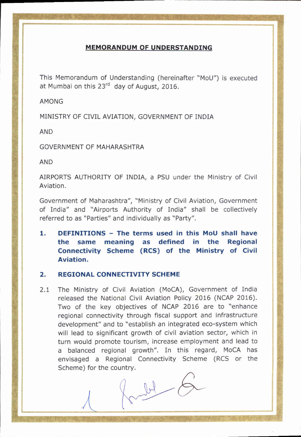## MEMORANDUM OF UNDERSTANDING

This Memorandum of Understanding (hereinafter "MoU") is executed at Mumbai on this  $23<sup>rd</sup>$  day of August, 2016.

AMONG

MINISTRY OF CIVIL AVIATION, GOVERNMENT OF INDIA

AND

GOVERNMENT OF MAHARASHTRA

AND

AIRPORTS AUTHORITY OF INDIA, a PSU under the Ministry of Civil Aviation.

Government of Maharashtra", "Ministry of Civil Aviation, Government of India" and "Airports Authority of India" shall be collectively referred to as "Parties" and individually as "Party".

1. DEFINITIONS - The terms used in this MoU shall have the same meaning as defined in the Regional Connectivity Scheme (RCS) of the Ministry of Civil Aviation.

## 2. REGIONAL CONNECTIVITY SCHEME

2.1 The Ministry of Civil Aviation (MoCA), Government of India released the National Civil Aviation Policy 2016 (NCAP 2015). Two of the key objectives of NCAP 2016 are to "enhance regional connectivity through fiscal support and infrastructure development" and to "establish an integrated eco-system which will lead to significant growth of civil aviation sector, which in turn would promote tourism, increase employment and lead to a balanced regional growth". In this regard, MoCA has envisaged a Regional Connectivity Scheme (RCS or the

Scheme) for the country.<br> $\begin{bmatrix} 1 & 1 \\ 1 & 1 \end{bmatrix}$